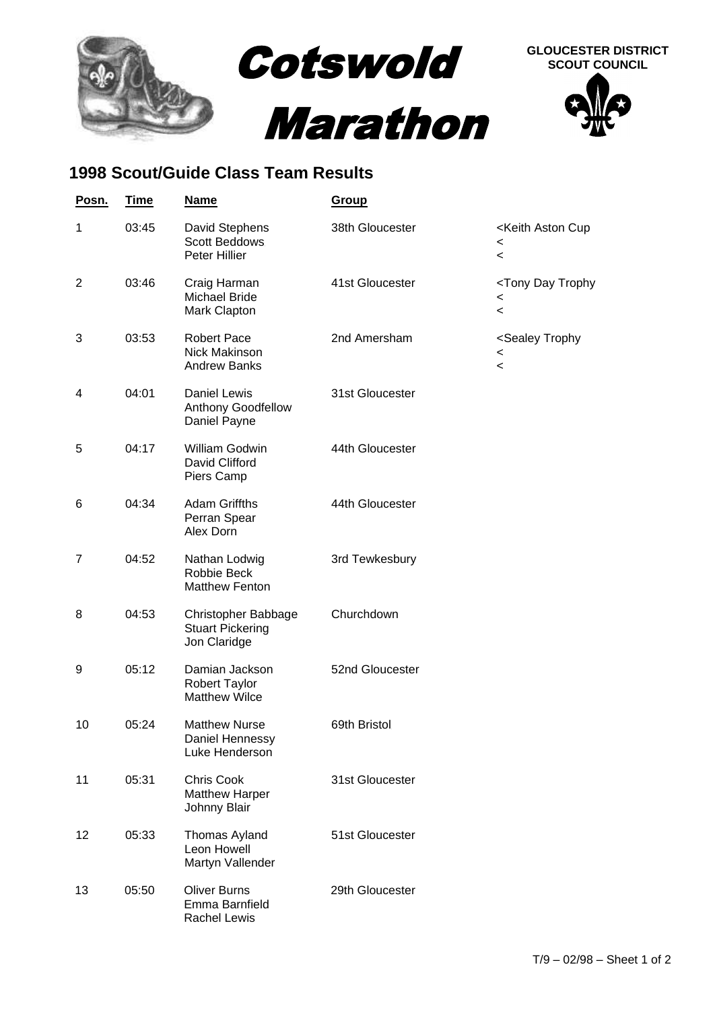

## **1998 Scout/Guide Class Team Results**

| Posn.          | <b>Time</b> | <b>Name</b>                                                    | Group           |                                                                                                 |
|----------------|-------------|----------------------------------------------------------------|-----------------|-------------------------------------------------------------------------------------------------|
| $\mathbf{1}$   | 03:45       | David Stephens<br>Scott Beddows<br>Peter Hillier               | 38th Gloucester | <keith aston="" cup<br=""><math>\,&lt;\,</math><br/><math>\overline{\phantom{a}}</math></keith> |
| $\overline{2}$ | 03:46       | Craig Harman<br><b>Michael Bride</b><br>Mark Clapton           | 41st Gloucester | <tony day="" trophy<br=""><math>\,&lt;\,</math><br/><math>\,&lt;\,</math></tony>                |
| 3              | 03:53       | <b>Robert Pace</b><br>Nick Makinson<br><b>Andrew Banks</b>     | 2nd Amersham    | <sealey trophy<br=""><math>\,&lt;\,</math><br/><math>\prec</math></sealey>                      |
| 4              | 04:01       | Daniel Lewis<br>Anthony Goodfellow<br>Daniel Payne             | 31st Gloucester |                                                                                                 |
| 5              | 04:17       | William Godwin<br>David Clifford<br>Piers Camp                 | 44th Gloucester |                                                                                                 |
| 6              | 04:34       | <b>Adam Griffths</b><br>Perran Spear<br>Alex Dorn              | 44th Gloucester |                                                                                                 |
| 7              | 04:52       | Nathan Lodwig<br>Robbie Beck<br><b>Matthew Fenton</b>          | 3rd Tewkesbury  |                                                                                                 |
| 8              | 04:53       | Christopher Babbage<br><b>Stuart Pickering</b><br>Jon Claridge | Churchdown      |                                                                                                 |
| 9              | 05:12       | Damian Jackson<br><b>Robert Taylor</b><br><b>Matthew Wilce</b> | 52nd Gloucester |                                                                                                 |
| 10             | 05:24       | <b>Matthew Nurse</b><br>Daniel Hennessy<br>Luke Henderson      | 69th Bristol    |                                                                                                 |
| 11             | 05:31       | <b>Chris Cook</b><br><b>Matthew Harper</b><br>Johnny Blair     | 31st Gloucester |                                                                                                 |
| 12             | 05:33       | Thomas Ayland<br>Leon Howell<br>Martyn Vallender               | 51st Gloucester |                                                                                                 |
| 13             | 05:50       | <b>Oliver Burns</b><br>Emma Barnfield<br>Rachel Lewis          | 29th Gloucester |                                                                                                 |